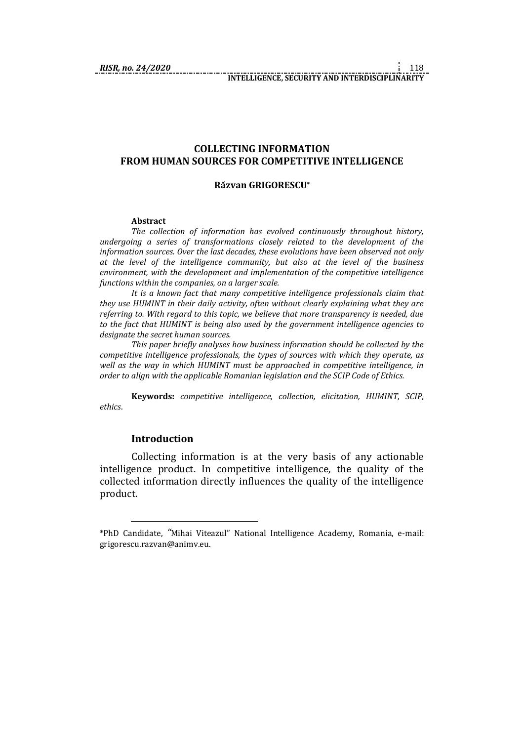## **COLLECTING INFORMATION FROM HUMAN SOURCES FOR COMPETITIVE INTELLIGENCE**

#### **Răzvan GRIGORESCU\***

#### **Abstract**

*The collection of information has evolved continuously throughout history, undergoing a series of transformations closely related to the development of the information sources. Over the last decades, these evolutions have been observed not only at the level of the intelligence community, but also at the level of the business environment, with the development and implementation of the competitive intelligence functions within the companies, on a larger scale.* 

*It is a known fact that many competitive intelligence professionals claim that they use HUMINT in their daily activity, often without clearly explaining what they are referring to. With regard to this topic, we believe that more transparency is needed, due to the fact that HUMINT is being also used by the government intelligence agencies to designate the secret human sources.*

*This paper briefly analyses how business information should be collected by the competitive intelligence professionals, the types of sources with which they operate, as well as the way in which HUMINT must be approached in competitive intelligence, in order to align with the applicable Romanian legislation and the SCIP Code of Ethics.*

**Keywords:** *competitive intelligence, collection, elicitation, HUMINT, SCIP, ethics*.

#### **Introduction**

1

Collecting information is at the very basis of any actionable intelligence product. In competitive intelligence, the quality of the collected information directly influences the quality of the intelligence product.

<sup>\*</sup>PhD Candidate, *"*Mihai Viteazul" National Intelligence Academy, Romania, e-mail: grigorescu.razvan@animv.eu.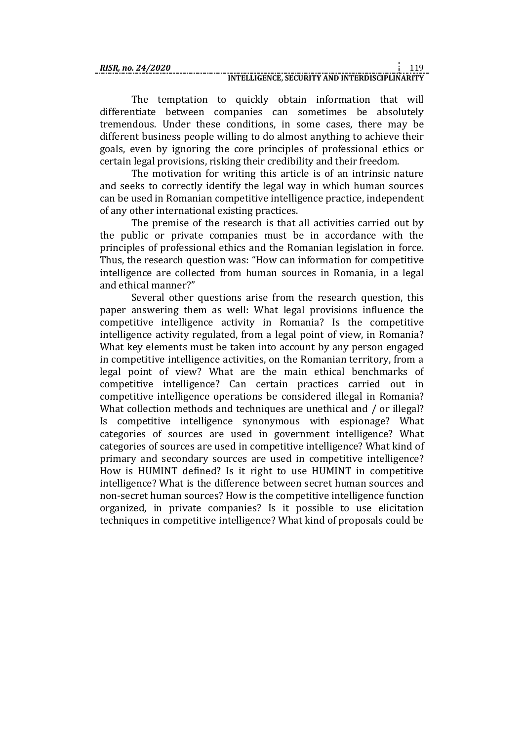The temptation to quickly obtain information that will differentiate between companies can sometimes be absolutely tremendous. Under these conditions, in some cases, there may be different business people willing to do almost anything to achieve their goals, even by ignoring the core principles of professional ethics or certain legal provisions, risking their credibility and their freedom.

The motivation for writing this article is of an intrinsic nature and seeks to correctly identify the legal way in which human sources can be used in Romanian competitive intelligence practice, independent of any other international existing practices.

The premise of the research is that all activities carried out by the public or private companies must be in accordance with the principles of professional ethics and the Romanian legislation in force. Thus, the research question was: "How can information for competitive intelligence are collected from human sources in Romania, in a legal and ethical manner?"

Several other questions arise from the research question, this paper answering them as well: What legal provisions influence the competitive intelligence activity in Romania? Is the competitive intelligence activity regulated, from a legal point of view, in Romania? What key elements must be taken into account by any person engaged in competitive intelligence activities, on the Romanian territory, from a legal point of view? What are the main ethical benchmarks of competitive intelligence? Can certain practices carried out in competitive intelligence operations be considered illegal in Romania? What collection methods and techniques are unethical and / or illegal? Is competitive intelligence synonymous with espionage? What categories of sources are used in government intelligence? What categories of sources are used in competitive intelligence? What kind of primary and secondary sources are used in competitive intelligence? How is HUMINT defined? Is it right to use HUMINT in competitive intelligence? What is the difference between secret human sources and non-secret human sources? How is the competitive intelligence function organized, in private companies? Is it possible to use elicitation techniques in competitive intelligence? What kind of proposals could be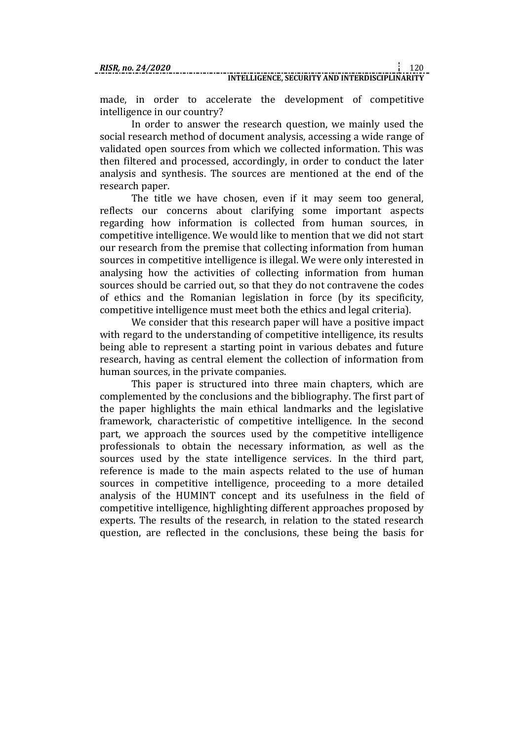made, in order to accelerate the development of competitive intelligence in our country?

In order to answer the research question, we mainly used the social research method of document analysis, accessing a wide range of validated open sources from which we collected information. This was then filtered and processed, accordingly, in order to conduct the later analysis and synthesis. The sources are mentioned at the end of the research paper.

The title we have chosen, even if it may seem too general, reflects our concerns about clarifying some important aspects regarding how information is collected from human sources, in competitive intelligence. We would like to mention that we did not start our research from the premise that collecting information from human sources in competitive intelligence is illegal. We were only interested in analysing how the activities of collecting information from human sources should be carried out, so that they do not contravene the codes of ethics and the Romanian legislation in force (by its specificity, competitive intelligence must meet both the ethics and legal criteria).

We consider that this research paper will have a positive impact with regard to the understanding of competitive intelligence, its results being able to represent a starting point in various debates and future research, having as central element the collection of information from human sources, in the private companies.

This paper is structured into three main chapters, which are complemented by the conclusions and the bibliography. The first part of the paper highlights the main ethical landmarks and the legislative framework, characteristic of competitive intelligence. In the second part, we approach the sources used by the competitive intelligence professionals to obtain the necessary information, as well as the sources used by the state intelligence services. In the third part, reference is made to the main aspects related to the use of human sources in competitive intelligence, proceeding to a more detailed analysis of the HUMINT concept and its usefulness in the field of competitive intelligence, highlighting different approaches proposed by experts. The results of the research, in relation to the stated research question, are reflected in the conclusions, these being the basis for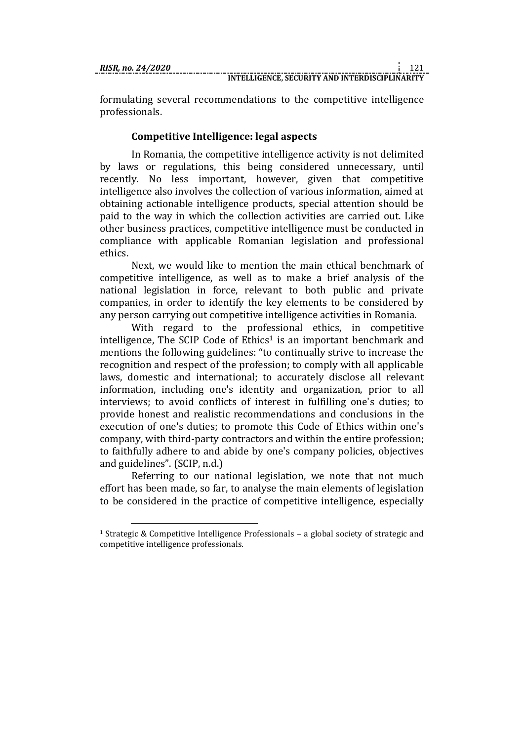1

formulating several recommendations to the competitive intelligence professionals.

## **Competitive Intelligence: legal aspects**

In Romania, the competitive intelligence activity is not delimited by laws or regulations, this being considered unnecessary, until recently. No less important, however, given that competitive intelligence also involves the collection of various information, aimed at obtaining actionable intelligence products, special attention should be paid to the way in which the collection activities are carried out. Like other business practices, competitive intelligence must be conducted in compliance with applicable Romanian legislation and professional ethics.

Next, we would like to mention the main ethical benchmark of competitive intelligence, as well as to make a brief analysis of the national legislation in force, relevant to both public and private companies, in order to identify the key elements to be considered by any person carrying out competitive intelligence activities in Romania.

With regard to the professional ethics, in competitive intelligence, The SCIP Code of  $E$ thics<sup>1</sup> is an important benchmark and mentions the following guidelines: "to continually strive to increase the recognition and respect of the profession; to comply with all applicable laws, domestic and international; to accurately disclose all relevant information, including one's identity and organization, prior to all interviews; to avoid conflicts of interest in fulfilling one's duties; to provide honest and realistic recommendations and conclusions in the execution of one's duties; to promote this Code of Ethics within one's company, with third-party contractors and within the entire profession; to faithfully adhere to and abide by one's company policies, objectives and guidelines". (SCIP, n.d.)

Referring to our national legislation, we note that not much effort has been made, so far, to analyse the main elements of legislation to be considered in the practice of competitive intelligence, especially

<sup>1</sup> Strategic & Competitive Intelligence Professionals – a global society of strategic and competitive intelligence professionals.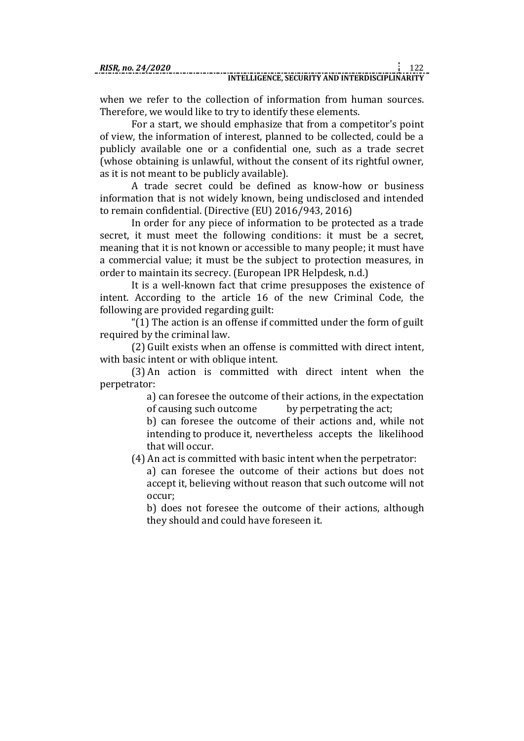when we refer to the collection of information from human sources. Therefore, we would like to try to identify these elements.

For a start, we should emphasize that from a competitor's point of view, the information of interest, planned to be collected, could be a publicly available one or a confidential one, such as a trade secret (whose obtaining is unlawful, without the consent of its rightful owner, as it is not meant to be publicly available).

A trade secret could be defined as know-how or business information that is not widely known, being undisclosed and intended to remain confidential. (Directive (EU) 2016/943, 2016)

In order for any piece of information to be protected as a trade secret, it must meet the following conditions: it must be a secret, meaning that it is not known or accessible to many people; it must have a commercial value; it must be the subject to protection measures, in order to maintain its secrecy. (European IPR Helpdesk, n.d.)

It is a well-known fact that crime presupposes the existence of intent. According to the article 16 of the new Criminal Code, the following are provided regarding guilt:

"(1) The action is an offense if committed under the form of guilt required by the criminal law.

(2) Guilt exists when an offense is committed with direct intent, with basic intent or with oblique intent.

(3) An action is committed with direct intent when the perpetrator:

> a) can foresee the outcome of their actions, in the expectation of causing such outcome by perpetrating the act;

> b) can foresee the outcome of their actions and, while not intending to produce it, nevertheless accepts the likelihood that will occur.

(4) An act is committed with basic intent when the perpetrator:

a) can foresee the outcome of their actions but does not accept it, believing without reason that such outcome will not occur;

b) does not foresee the outcome of their actions, although they should and could have foreseen it.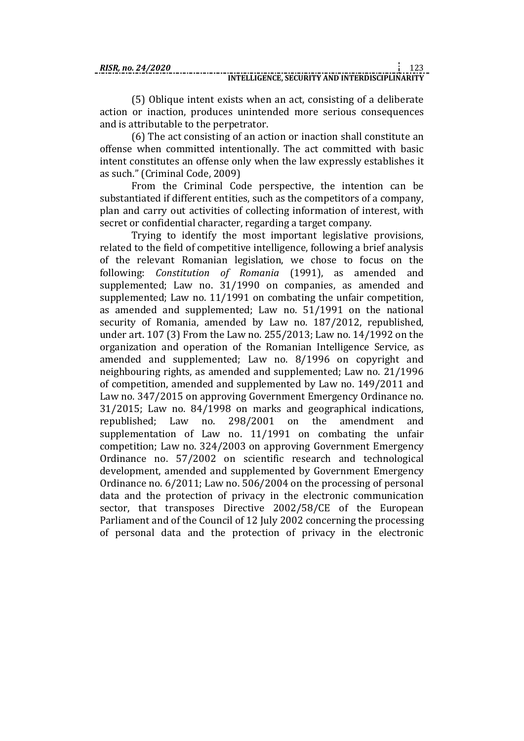(5) Oblique intent exists when an act, consisting of a deliberate

action or inaction, produces unintended more serious consequences and is attributable to the perpetrator.

(6) The act consisting of an action or inaction shall constitute an offense when committed intentionally. The act committed with basic intent constitutes an offense only when the law expressly establishes it as such." (Criminal Code, 2009)

From the Criminal Code perspective, the intention can be substantiated if different entities, such as the competitors of a company, plan and carry out activities of collecting information of interest, with secret or confidential character, regarding a target company.

Trying to identify the most important legislative provisions, related to the field of competitive intelligence, following a brief analysis of the relevant Romanian legislation, we chose to focus on the following: *Constitution of Romania* (1991), as amended and supplemented; Law no. 31/1990 on companies, as amended and supplemented; Law no. 11/1991 on combating the unfair competition, as amended and supplemented; Law no. 51/1991 on the national security of Romania, amended by Law no. 187/2012, republished, under art. 107 (3) From the Law no. 255/2013; Law no. 14/1992 on the organization and operation of the Romanian Intelligence Service, as amended and supplemented; Law no. 8/1996 on copyright and neighbouring rights, as amended and supplemented; Law no. 21/1996 of competition, amended and supplemented by Law no. 149/2011 and Law no. 347/2015 on approving Government Emergency Ordinance no. 31/2015; Law no. 84/1998 on marks and geographical indications, republished; Law no. 298/2001 on the amendment and supplementation of Law no. 11/1991 on combating the unfair competition; Law no. 324/2003 on approving Government Emergency Ordinance no. 57/2002 on scientific research and technological development, amended and supplemented by Government Emergency Ordinance no. 6/2011; Law no. 506/2004 on the processing of personal data and the protection of privacy in the electronic communication sector, that transposes Directive 2002/58/CE of the European Parliament and of the Council of 12 July 2002 concerning the processing of personal data and the protection of privacy in the electronic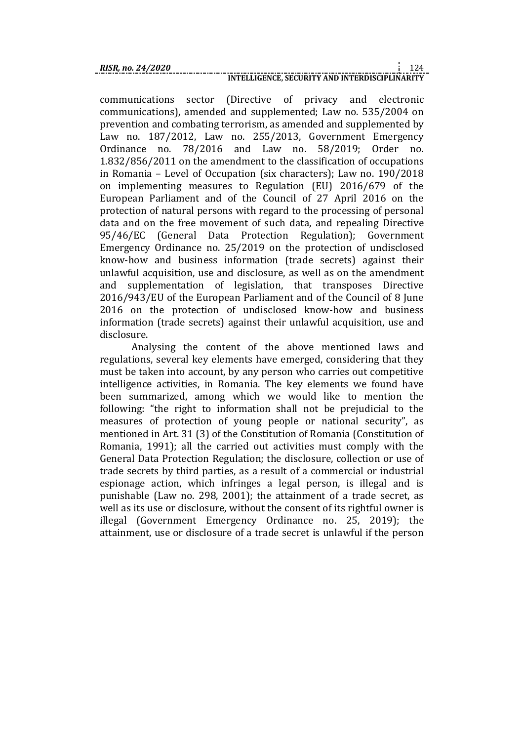communications sector (Directive of privacy and electronic communications), amended and supplemented; Law no. 535/2004 on prevention and combating terrorism, as amended and supplemented by Law no. 187/2012, Law no. 255/2013, Government Emergency Ordinance no. 78/2016 and Law no. 58/2019; Order no. 1.832/856/2011 on the amendment to the classification of occupations in Romania – Level of Occupation (six characters); Law no. 190/2018 on implementing measures to Regulation (EU) 2016/679 of the European Parliament and of the Council of 27 April 2016 on the protection of natural persons with regard to the processing of personal data and on the free movement of such data, and repealing Directive 95/46/EC (General Data Protection Regulation); Government Emergency Ordinance no. 25/2019 on the protection of undisclosed know-how and business information (trade secrets) against their unlawful acquisition, use and disclosure, as well as on the amendment and supplementation of legislation, that transposes Directive 2016/943/EU of the European Parliament and of the Council of 8 June 2016 on the protection of undisclosed know-how and business information (trade secrets) against their unlawful acquisition, use and disclosure.

Analysing the content of the above mentioned laws and regulations, several key elements have emerged, considering that they must be taken into account, by any person who carries out competitive intelligence activities, in Romania. The key elements we found have been summarized, among which we would like to mention the following: "the right to information shall not be prejudicial to the measures of protection of young people or national security", as mentioned in Art. 31 (3) of the Constitution of Romania (Constitution of Romania, 1991); all the carried out activities must comply with the General Data Protection Regulation; the disclosure, collection or use of trade secrets by third parties, as a result of a commercial or industrial espionage action, which infringes a legal person, is illegal and is punishable (Law no. 298, 2001); the attainment of a trade secret, as well as its use or disclosure, without the consent of its rightful owner is illegal (Government Emergency Ordinance no. 25, 2019); the attainment, use or disclosure of a trade secret is unlawful if the person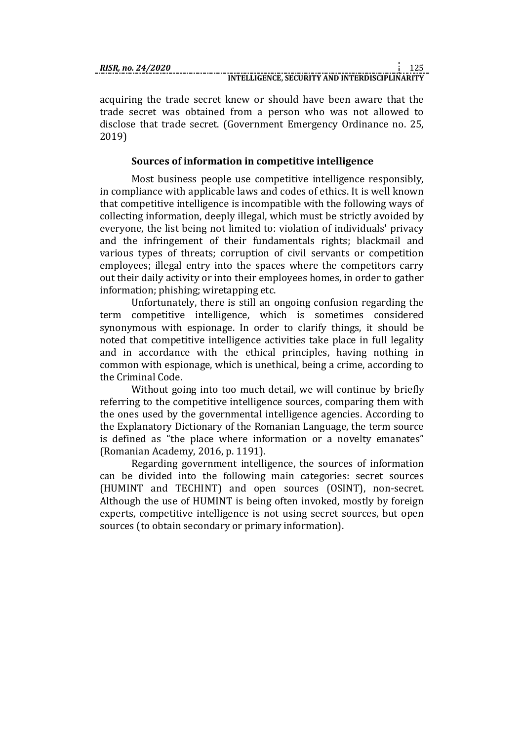acquiring the trade secret knew or should have been aware that the trade secret was obtained from a person who was not allowed to disclose that trade secret. (Government Emergency Ordinance no. 25, 2019)

## **Sources of information in competitive intelligence**

Most business people use competitive intelligence responsibly, in compliance with applicable laws and codes of ethics. It is well known that competitive intelligence is incompatible with the following ways of collecting information, deeply illegal, which must be strictly avoided by everyone, the list being not limited to: violation of individuals' privacy and the infringement of their fundamentals rights; blackmail and various types of threats; corruption of civil servants or competition employees; illegal entry into the spaces where the competitors carry out their daily activity or into their employees homes, in order to gather information; phishing; wiretapping etc.

Unfortunately, there is still an ongoing confusion regarding the term competitive intelligence, which is sometimes considered synonymous with espionage. In order to clarify things, it should be noted that competitive intelligence activities take place in full legality and in accordance with the ethical principles, having nothing in common with espionage, which is unethical, being a crime, according to the Criminal Code.

Without going into too much detail, we will continue by briefly referring to the competitive intelligence sources, comparing them with the ones used by the governmental intelligence agencies. According to the Explanatory Dictionary of the Romanian Language, the term source is defined as "the place where information or a novelty emanates" (Romanian Academy, 2016, p. 1191).

Regarding government intelligence, the sources of information can be divided into the following main categories: secret sources (HUMINT and TECHINT) and open sources (OSINT), non-secret. Although the use of HUMINT is being often invoked, mostly by foreign experts, competitive intelligence is not using secret sources, but open sources (to obtain secondary or primary information).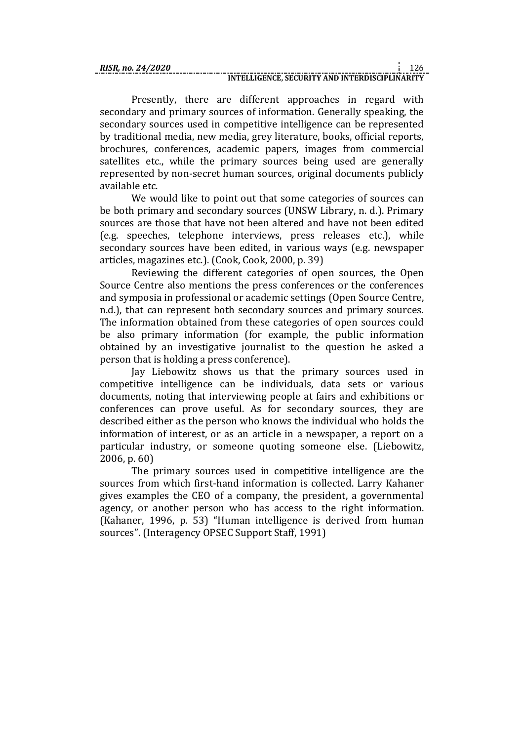## **INTELLIGENCE, SECURITY AND INTERDISCIPLINARITY**

Presently, there are different approaches in regard with secondary and primary sources of information. Generally speaking, the secondary sources used in competitive intelligence can be represented by traditional media, new media, grey literature, books, official reports, brochures, conferences, academic papers, images from commercial satellites etc., while the primary sources being used are generally represented by non-secret human sources, original documents publicly available etc.

We would like to point out that some categories of sources can be both primary and secondary sources (UNSW Library, n. d.). Primary sources are those that have not been altered and have not been edited (e.g. speeches, telephone interviews, press releases etc.), while secondary sources have been edited, in various ways (e.g. newspaper articles, magazines etc.). (Cook, Cook, 2000, p. 39)

Reviewing the different categories of open sources, the Open Source Centre also mentions the press conferences or the conferences and symposia in professional or academic settings (Open Source Centre, n.d.), that can represent both secondary sources and primary sources. The information obtained from these categories of open sources could be also primary information (for example, the public information obtained by an investigative journalist to the question he asked a person that is holding a press conference).

Jay Liebowitz shows us that the primary sources used in competitive intelligence can be individuals, data sets or various documents, noting that interviewing people at fairs and exhibitions or conferences can prove useful. As for secondary sources, they are described either as the person who knows the individual who holds the information of interest, or as an article in a newspaper, a report on a particular industry, or someone quoting someone else. (Liebowitz, 2006, p. 60)

The primary sources used in competitive intelligence are the sources from which first-hand information is collected. Larry Kahaner gives examples the CEO of a company, the president, a governmental agency, or another person who has access to the right information. (Kahaner, 1996, p. 53) "Human intelligence is derived from human sources". (Interagency OPSEC Support Staff, 1991)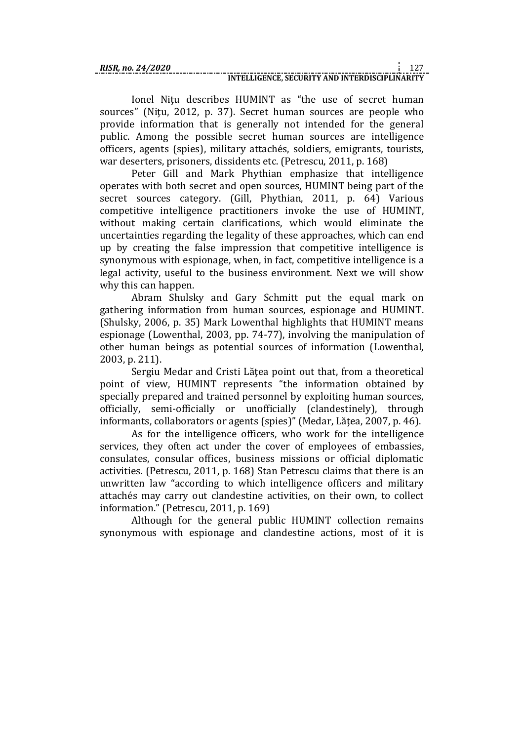## **INTELLIGENCE, SECURITY AND INTERDISCIPLINARITY**

Ionel Nitu describes HUMINT as "the use of secret human sources" (Niţu, 2012, p. 37). Secret human sources are people who provide information that is generally not intended for the general public. Among the possible secret human sources are intelligence officers, agents (spies), military attachés, soldiers, emigrants, tourists, war deserters, prisoners, dissidents etc. (Petrescu, 2011, p. 168)

Peter Gill and Mark Phythian emphasize that intelligence operates with both secret and open sources, HUMINT being part of the secret sources category. (Gill, Phythian, 2011, p. 64) Various competitive intelligence practitioners invoke the use of HUMINT, without making certain clarifications, which would eliminate the uncertainties regarding the legality of these approaches, which can end up by creating the false impression that competitive intelligence is synonymous with espionage, when, in fact, competitive intelligence is a legal activity, useful to the business environment. Next we will show why this can happen.

Abram Shulsky and Gary Schmitt put the equal mark on gathering information from human sources, espionage and HUMINT. (Shulsky, 2006, p. 35) Mark Lowenthal highlights that HUMINT means espionage (Lowenthal, 2003, pp. 74-77), involving the manipulation of other human beings as potential sources of information (Lowenthal, 2003, p. 211).

Sergiu Medar and Cristi Lăţea point out that, from a theoretical point of view, HUMINT represents "the information obtained by specially prepared and trained personnel by exploiting human sources, officially, semi-officially or unofficially (clandestinely), through informants, collaborators or agents (spies)" (Medar, Lătea, 2007, p. 46).

As for the intelligence officers, who work for the intelligence services, they often act under the cover of employees of embassies, consulates, consular offices, business missions or official diplomatic activities. (Petrescu, 2011, p. 168) Stan Petrescu claims that there is an unwritten law "according to which intelligence officers and military attachés may carry out clandestine activities, on their own, to collect information." (Petrescu, 2011, p. 169)

Although for the general public HUMINT collection remains synonymous with espionage and clandestine actions, most of it is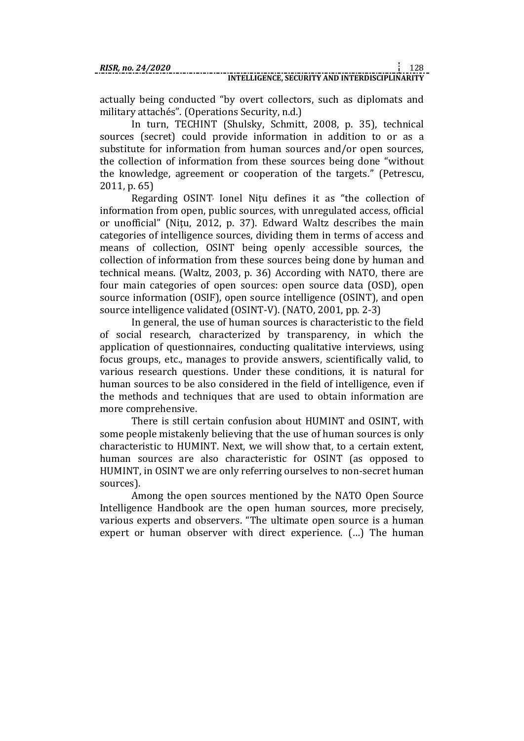actually being conducted "by overt collectors, such as diplomats and military attachés". (Operations Security, n.d.)

In turn, TECHINT (Shulsky, Schmitt, 2008, p. 35), technical sources (secret) could provide information in addition to or as a substitute for information from human sources and/or open sources, the collection of information from these sources being done "without the knowledge, agreement or cooperation of the targets." (Petrescu, 2011, p. 65)

Regarding OSINT, Ionel Nitu defines it as "the collection of information from open, public sources, with unregulated access, official or unofficial" (Nitu, 2012, p. 37). Edward Waltz describes the main categories of intelligence sources, dividing them in terms of access and means of collection, OSINT being openly accessible sources, the collection of information from these sources being done by human and technical means. (Waltz, 2003, p. 36) According with NATO, there are four main categories of open sources: open source data (OSD), open source information (OSIF), open source intelligence (OSINT), and open source intelligence validated (OSINT-V). (NATO, 2001, pp. 2-3)

In general, the use of human sources is characteristic to the field of social research, characterized by transparency, in which the application of questionnaires, conducting qualitative interviews, using focus groups, etc., manages to provide answers, scientifically valid, to various research questions. Under these conditions, it is natural for human sources to be also considered in the field of intelligence, even if the methods and techniques that are used to obtain information are more comprehensive.

There is still certain confusion about HUMINT and OSINT, with some people mistakenly believing that the use of human sources is only characteristic to HUMINT. Next, we will show that, to a certain extent, human sources are also characteristic for OSINT (as opposed to HUMINT, in OSINT we are only referring ourselves to non-secret human sources).

Among the open sources mentioned by the NATO Open Source Intelligence Handbook are the open human sources, more precisely, various experts and observers. "The ultimate open source is a human expert or human observer with direct experience. (…) The human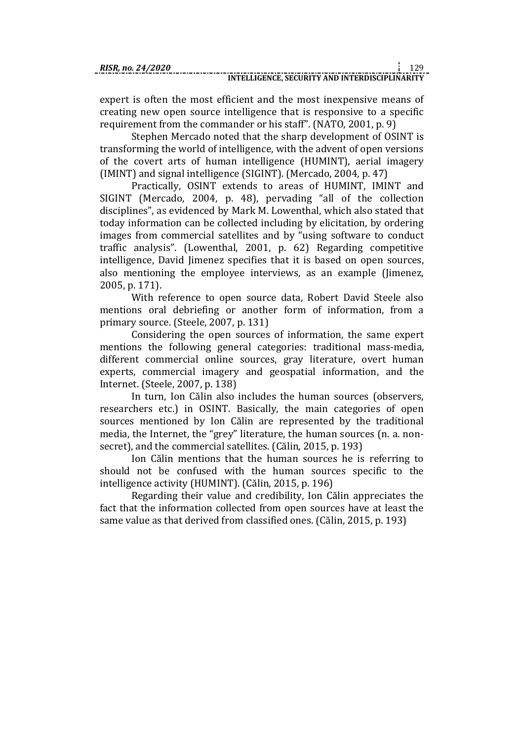expert is often the most efficient and the most inexpensive means of creating new open source intelligence that is responsive to a specific requirement from the commander or his staff". (NATO, 2001, p. 9)

Stephen Mercado noted that the sharp development of OSINT is transforming the world of intelligence, with the advent of open versions of the covert arts of human intelligence (HUMINT), aerial imagery (IMINT) and signal intelligence (SIGINT). (Mercado, 2004, p. 47)

Practically, OSINT extends to areas of HUMINT, IMINT and SIGINT (Mercado, 2004, p. 48), pervading "all of the collection disciplines", as evidenced by Mark M. Lowenthal, which also stated that today information can be collected including by elicitation, by ordering images from commercial satellites and by "using software to conduct traffic analysis". (Lowenthal, 2001, p. 62) Regarding competitive intelligence, David Jimenez specifies that it is based on open sources, also mentioning the employee interviews, as an example (Jimenez, 2005, p. 171).

With reference to open source data, Robert David Steele also mentions oral debriefing or another form of information, from a primary source. (Steele, 2007, p. 131)

Considering the open sources of information, the same expert mentions the following general categories: traditional mass-media, different commercial online sources, gray literature, overt human experts, commercial imagery and geospatial information, and the Internet. (Steele, 2007, p. 138)

In turn, Ion Călin also includes the human sources (observers, researchers etc.) in OSINT. Basically, the main categories of open sources mentioned by Ion Călin are represented by the traditional media, the Internet, the "grey" literature, the human sources (n. a. nonsecret), and the commercial satellites. (Călin, 2015, p. 193)

Ion Călin mentions that the human sources he is referring to should not be confused with the human sources specific to the intelligence activity (HUMINT). (Călin, 2015, p. 196)

Regarding their value and credibility, Ion Călin appreciates the fact that the information collected from open sources have at least the same value as that derived from classified ones. (Călin, 2015, p. 193)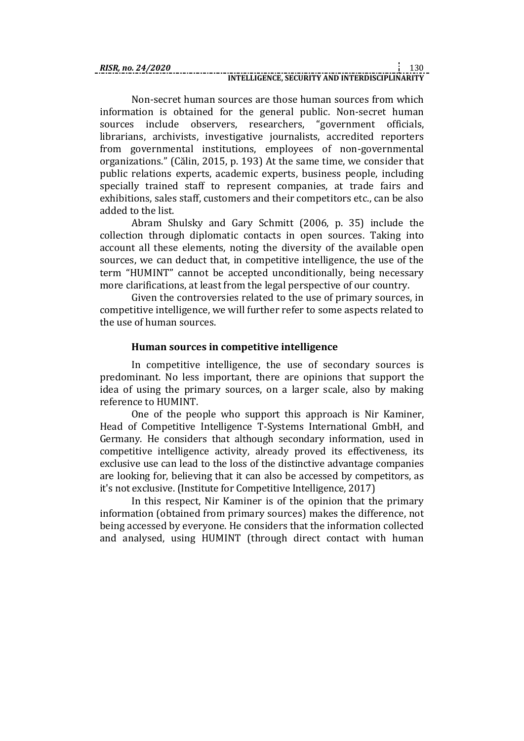Non-secret human sources are those human sources from which information is obtained for the general public. Non-secret human sources include observers, researchers, "government officials, librarians, archivists, investigative journalists, accredited reporters from governmental institutions, employees of non-governmental organizations." (Călin, 2015, p. 193) At the same time, we consider that public relations experts, academic experts, business people, including specially trained staff to represent companies, at trade fairs and exhibitions, sales staff, customers and their competitors etc., can be also added to the list.

Abram Shulsky and Gary Schmitt (2006, p. 35) include the collection through diplomatic contacts in open sources. Taking into account all these elements, noting the diversity of the available open sources, we can deduct that, in competitive intelligence, the use of the term "HUMINT" cannot be accepted unconditionally, being necessary more clarifications, at least from the legal perspective of our country.

Given the controversies related to the use of primary sources, in competitive intelligence, we will further refer to some aspects related to the use of human sources.

# **Human sources in competitive intelligence**

In competitive intelligence, the use of secondary sources is predominant. No less important, there are opinions that support the idea of using the primary sources, on a larger scale, also by making reference to HUMINT.

One of the people who support this approach is Nir Kaminer, Head of Competitive Intelligence T-Systems International GmbH, and Germany. He considers that although secondary information, used in competitive intelligence activity, already proved its effectiveness, its exclusive use can lead to the loss of the distinctive advantage companies are looking for, believing that it can also be accessed by competitors, as it's not exclusive. (Institute for Competitive Intelligence, 2017)

In this respect, Nir Kaminer is of the opinion that the primary information (obtained from primary sources) makes the difference, not being accessed by everyone. He considers that the information collected and analysed, using HUMINT (through direct contact with human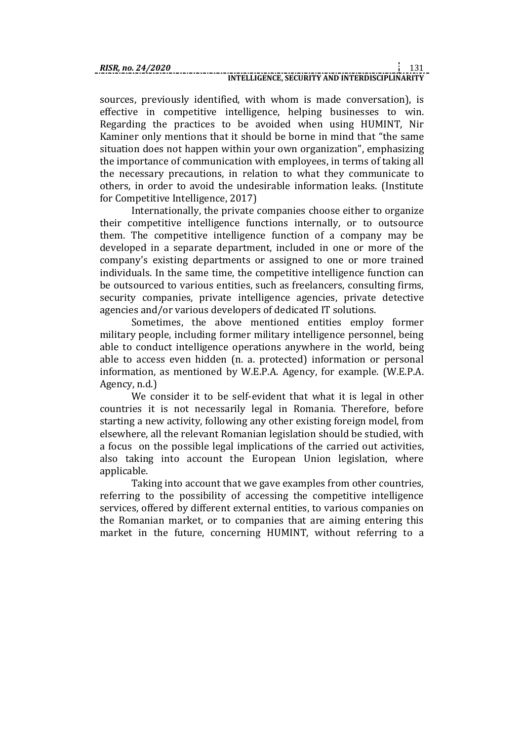sources, previously identified, with whom is made conversation), is effective in competitive intelligence, helping businesses to win. Regarding the practices to be avoided when using HUMINT, Nir Kaminer only mentions that it should be borne in mind that "the same situation does not happen within your own organization", emphasizing the importance of communication with employees, in terms of taking all the necessary precautions, in relation to what they communicate to others, in order to avoid the undesirable information leaks. (Institute for Competitive Intelligence, 2017)

Internationally, the private companies choose either to organize their competitive intelligence functions internally, or to outsource them. The competitive intelligence function of a company may be developed in a separate department, included in one or more of the company's existing departments or assigned to one or more trained individuals. In the same time, the competitive intelligence function can be outsourced to various entities, such as freelancers, consulting firms, security companies, private intelligence agencies, private detective agencies and/or various developers of dedicated IT solutions.

Sometimes, the above mentioned entities employ former military people, including former military intelligence personnel, being able to conduct intelligence operations anywhere in the world, being able to access even hidden (n. a. protected) information or personal information, as mentioned by W.E.P.A. Agency, for example. (W.E.P.A. Agency, n.d.)

We consider it to be self-evident that what it is legal in other countries it is not necessarily legal in Romania. Therefore, before starting a new activity, following any other existing foreign model, from elsewhere, all the relevant Romanian legislation should be studied, with a focus on the possible legal implications of the carried out activities, also taking into account the European Union legislation, where applicable.

Taking into account that we gave examples from other countries, referring to the possibility of accessing the competitive intelligence services, offered by different external entities, to various companies on the Romanian market, or to companies that are aiming entering this market in the future, concerning HUMINT, without referring to a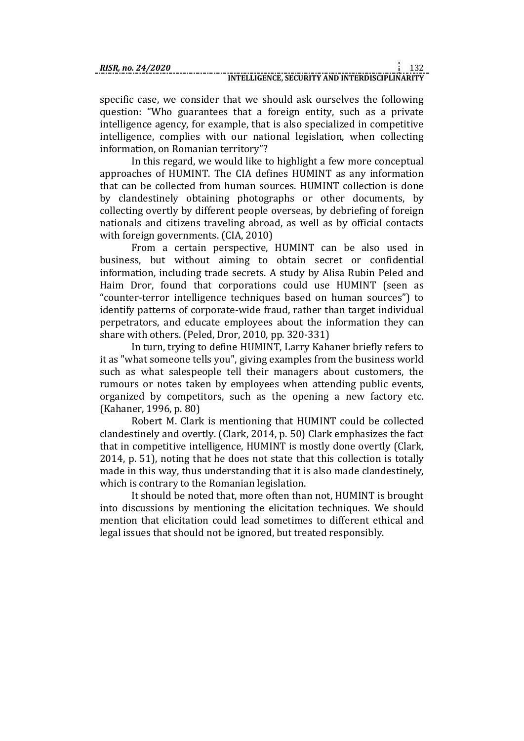specific case, we consider that we should ask ourselves the following question: "Who guarantees that a foreign entity, such as a private intelligence agency, for example, that is also specialized in competitive intelligence, complies with our national legislation, when collecting information, on Romanian territory"?

In this regard, we would like to highlight a few more conceptual approaches of HUMINT. The CIA defines HUMINT as any information that can be collected from human sources. HUMINT collection is done by clandestinely obtaining photographs or other documents, by collecting overtly by different people overseas, by debriefing of foreign nationals and citizens traveling abroad, as well as by official contacts with foreign governments. (CIA, 2010)

From a certain perspective, HUMINT can be also used in business, but without aiming to obtain secret or confidential information, including trade secrets. A study by Alisa Rubin Peled and Haim Dror, found that corporations could use HUMINT (seen as "counter-terror intelligence techniques based on human sources") to identify patterns of corporate-wide fraud, rather than target individual perpetrators, and educate employees about the information they can share with others. (Peled, Dror, 2010, pp. 320-331)

In turn, trying to define HUMINT, Larry Kahaner briefly refers to it as "what someone tells you", giving examples from the business world such as what salespeople tell their managers about customers, the rumours or notes taken by employees when attending public events, organized by competitors, such as the opening a new factory etc. (Kahaner, 1996, p. 80)

Robert M. Clark is mentioning that HUMINT could be collected clandestinely and overtly. (Clark, 2014, p. 50) Clark emphasizes the fact that in competitive intelligence, HUMINT is mostly done overtly (Clark, 2014, p. 51), noting that he does not state that this collection is totally made in this way, thus understanding that it is also made clandestinely, which is contrary to the Romanian legislation.

It should be noted that, more often than not, HUMINT is brought into discussions by mentioning the elicitation techniques. We should mention that elicitation could lead sometimes to different ethical and legal issues that should not be ignored, but treated responsibly.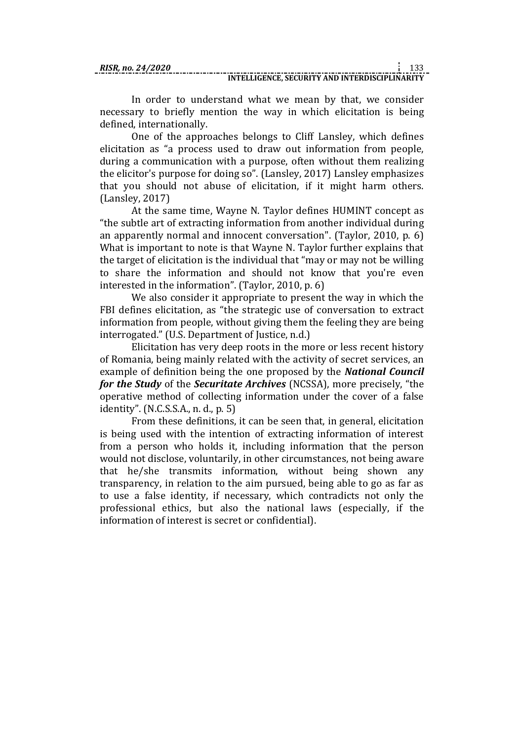In order to understand what we mean by that, we consider necessary to briefly mention the way in which elicitation is being defined, internationally.

One of the approaches belongs to Cliff Lansley, which defines elicitation as "a process used to draw out information from people, during a communication with a purpose, often without them realizing the elicitor's purpose for doing so". (Lansley, 2017) Lansley emphasizes that you should not abuse of elicitation, if it might harm others. (Lansley, 2017)

At the same time, Wayne N. Taylor defines HUMINT concept as "the subtle art of extracting information from another individual during an apparently normal and innocent conversation". (Taylor, 2010, p. 6) What is important to note is that Wayne N. Taylor further explains that the target of elicitation is the individual that "may or may not be willing to share the information and should not know that you're even interested in the information". (Taylor, 2010, p. 6)

We also consider it appropriate to present the way in which the FBI defines elicitation, as "the strategic use of conversation to extract information from people, without giving them the feeling they are being interrogated." (U.S. Department of Justice, n.d.)

Elicitation has very deep roots in the more or less recent history of Romania, being mainly related with the activity of secret services, an example of definition being the one proposed by the *National Council for the Study* of the *Securitate Archives* (NCSSA), more precisely, "the operative method of collecting information under the cover of a false identity". (N.C.S.S.A., n. d., p. 5)

From these definitions, it can be seen that, in general, elicitation is being used with the intention of extracting information of interest from a person who holds it, including information that the person would not disclose, voluntarily, in other circumstances, not being aware that he/she transmits information, without being shown any transparency, in relation to the aim pursued, being able to go as far as to use a false identity, if necessary, which contradicts not only the professional ethics, but also the national laws (especially, if the information of interest is secret or confidential).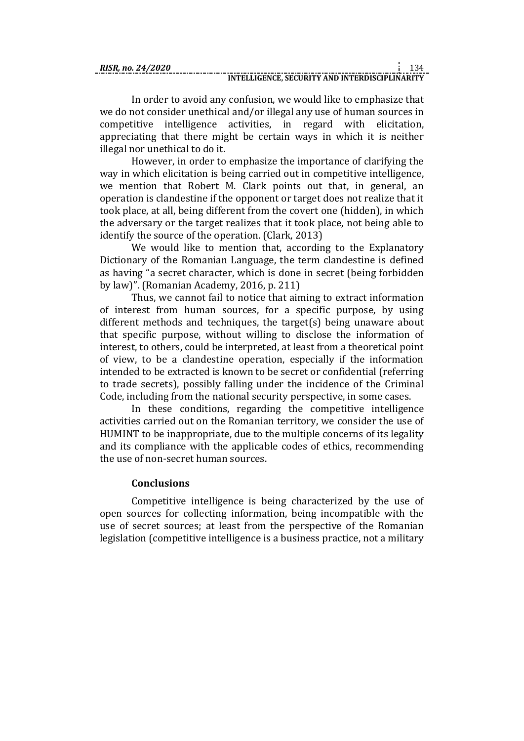In order to avoid any confusion, we would like to emphasize that we do not consider unethical and/or illegal any use of human sources in competitive intelligence activities, in regard with elicitation, appreciating that there might be certain ways in which it is neither illegal nor unethical to do it.

However, in order to emphasize the importance of clarifying the way in which elicitation is being carried out in competitive intelligence, we mention that Robert M. Clark points out that, in general, an operation is clandestine if the opponent or target does not realize that it took place, at all, being different from the covert one (hidden), in which the adversary or the target realizes that it took place, not being able to identify the source of the operation. (Clark, 2013)

We would like to mention that, according to the Explanatory Dictionary of the Romanian Language, the term clandestine is defined as having "a secret character, which is done in secret (being forbidden by law)". (Romanian Academy, 2016, p. 211)

Thus, we cannot fail to notice that aiming to extract information of interest from human sources, for a specific purpose, by using different methods and techniques, the target(s) being unaware about that specific purpose, without willing to disclose the information of interest, to others, could be interpreted, at least from a theoretical point of view, to be a clandestine operation, especially if the information intended to be extracted is known to be secret or confidential (referring to trade secrets), possibly falling under the incidence of the Criminal Code, including from the national security perspective, in some cases.

In these conditions, regarding the competitive intelligence activities carried out on the Romanian territory, we consider the use of HUMINT to be inappropriate, due to the multiple concerns of its legality and its compliance with the applicable codes of ethics, recommending the use of non-secret human sources.

# **Conclusions**

Competitive intelligence is being characterized by the use of open sources for collecting information, being incompatible with the use of secret sources; at least from the perspective of the Romanian legislation (competitive intelligence is a business practice, not a military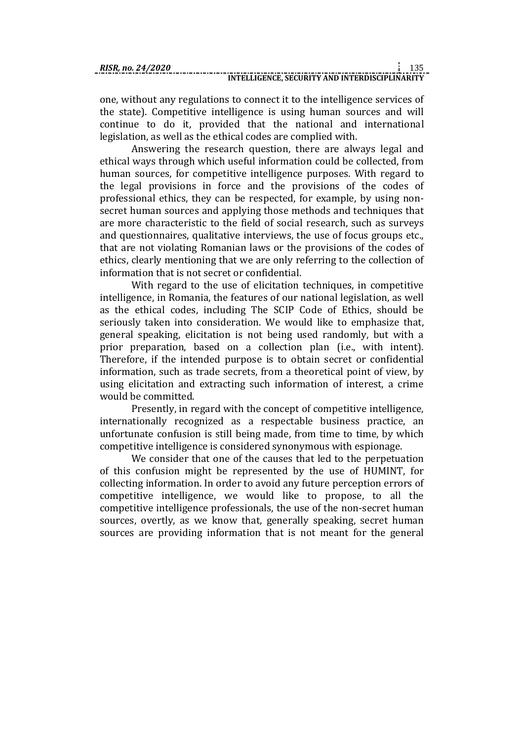one, without any regulations to connect it to the intelligence services of the state). Competitive intelligence is using human sources and will continue to do it, provided that the national and international legislation, as well as the ethical codes are complied with.

Answering the research question, there are always legal and ethical ways through which useful information could be collected, from human sources, for competitive intelligence purposes. With regard to the legal provisions in force and the provisions of the codes of professional ethics, they can be respected, for example, by using nonsecret human sources and applying those methods and techniques that are more characteristic to the field of social research, such as surveys and questionnaires, qualitative interviews, the use of focus groups etc., that are not violating Romanian laws or the provisions of the codes of ethics, clearly mentioning that we are only referring to the collection of information that is not secret or confidential.

With regard to the use of elicitation techniques, in competitive intelligence, in Romania, the features of our national legislation, as well as the ethical codes, including The SCIP Code of Ethics, should be seriously taken into consideration. We would like to emphasize that, general speaking, elicitation is not being used randomly, but with a prior preparation, based on a collection plan (i.e., with intent). Therefore, if the intended purpose is to obtain secret or confidential information, such as trade secrets, from a theoretical point of view, by using elicitation and extracting such information of interest, a crime would be committed.

Presently, in regard with the concept of competitive intelligence, internationally recognized as a respectable business practice, an unfortunate confusion is still being made, from time to time, by which competitive intelligence is considered synonymous with espionage.

We consider that one of the causes that led to the perpetuation of this confusion might be represented by the use of HUMINT, for collecting information. In order to avoid any future perception errors of competitive intelligence, we would like to propose, to all the competitive intelligence professionals, the use of the non-secret human sources, overtly, as we know that, generally speaking, secret human sources are providing information that is not meant for the general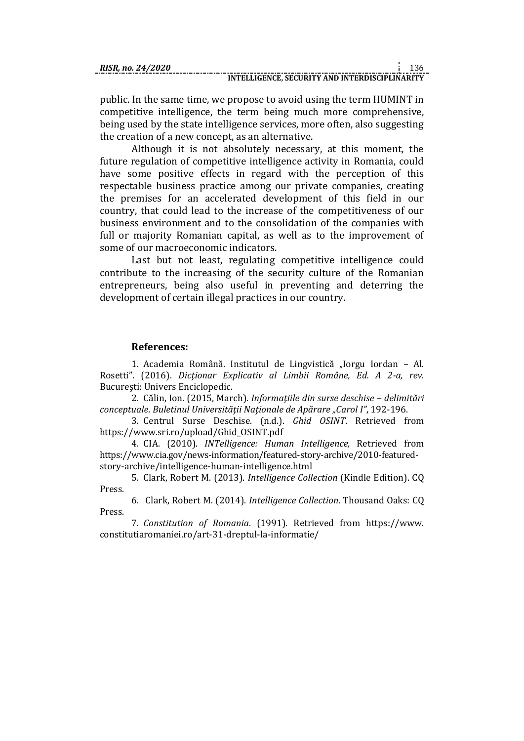public. In the same time, we propose to avoid using the term HUMINT in competitive intelligence, the term being much more comprehensive, being used by the state intelligence services, more often, also suggesting the creation of a new concept, as an alternative.

Although it is not absolutely necessary, at this moment, the future regulation of competitive intelligence activity in Romania, could have some positive effects in regard with the perception of this respectable business practice among our private companies, creating the premises for an accelerated development of this field in our country, that could lead to the increase of the competitiveness of our business environment and to the consolidation of the companies with full or majority Romanian capital, as well as to the improvement of some of our macroeconomic indicators.

Last but not least, regulating competitive intelligence could contribute to the increasing of the security culture of the Romanian entrepreneurs, being also useful in preventing and deterring the development of certain illegal practices in our country.

#### **References:**

1. Academia Română. Institutul de Lingvistică "Iorgu Iordan – Al. Rosetti". (2016). *Dicţionar Explicativ al Limbii Române, Ed. A 2-a, rev*. Bucureşti: Univers Enciclopedic.

2. Călin, Ion. (2015, March). *Informaţiile din surse deschise – delimitări conceptuale*. *Buletinul Universităţii Naţionale de Apărare "Carol I"*, 192-196.

3. Centrul Surse Deschise. (n.d.). *Ghid OSINT*. Retrieved from https://www.sri.ro/upload/Ghid\_OSINT.pdf

4. CIA. (2010). *INTelligence: Human Intelligence,* Retrieved from https://www.cia.gov/news-information/featured-story-archive/2010-featuredstory-archive/intelligence-human-intelligence.html

5. Clark, Robert M. (2013). *Intelligence Collection* (Kindle Edition). CQ Press.

6. Clark, Robert M. (2014). *Intelligence Collection*. Thousand Oaks: CQ Press.

7. *Constitution of Romania*. (1991). Retrieved from https://www. constitutiaromaniei.ro/art-31-dreptul-la-informatie/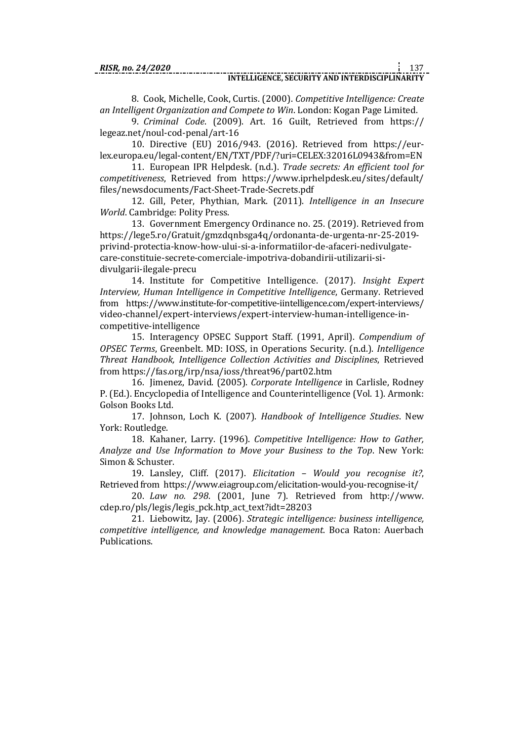8. Cook, Michelle, Cook, Curtis. (2000). *Competitive Intelligence: Create an Intelligent Organization and Compete to Win*. London: Kogan Page Limited.

9. *Criminal Code*. (2009). Art. 16 Guilt, Retrieved from https:// legeaz.net/noul-cod-penal/art-16

10. Directive (EU) 2016/943. (2016). Retrieved from https://eurlex.europa.eu/legal-content/EN/TXT/PDF/?uri=CELEX:32016L0943&from=EN

11. European IPR Helpdesk. (n.d.). *Trade secrets: An efficient tool for competitiveness*, Retrieved from https://www.iprhelpdesk.eu/sites/default/ files/newsdocuments/Fact-Sheet-Trade-Secrets.pdf

12. Gill, Peter, Phythian, Mark. (2011). *Intelligence in an Insecure World*. Cambridge: Polity Press.

13. Government Emergency Ordinance no. 25. (2019). Retrieved from https://lege5.ro/Gratuit/gmzdqnbsga4q/ordonanta-de-urgenta-nr-25-2019 privind-protectia-know-how-ului-si-a-informatiilor-de-afaceri-nedivulgatecare-constituie-secrete-comerciale-impotriva-dobandirii-utilizarii-sidivulgarii-ilegale-precu

14. Institute for Competitive Intelligence. (2017). *Insight Expert Interview, Human Intelligence in Competitive Intelligence*, Germany. Retrieved from https://www.institute-for-competitive-iintelligence.com/expert-interviews/ video-channel/expert-interviews/expert-interview-human-intelligence-incompetitive-intelligence

15. Interagency OPSEC Support Staff. (1991, April). *Compendium of OPSEC Terms*, Greenbelt. MD: IOSS, in Operations Security. (n.d.). *Intelligence Threat Handbook, Intelligence Collection Activities and Disciplines*, Retrieved from https://fas.org/irp/nsa/ioss/threat96/part02.htm

16. Jimenez, David. (2005). *Corporate Intelligence* in Carlisle, Rodney P. (Ed.). Encyclopedia of Intelligence and Counterintelligence (Vol. 1). Armonk: Golson Books Ltd.

17. Johnson, Loch K. (2007). *Handbook of Intelligence Studies*. New York: Routledge.

18. Kahaner, Larry. (1996). *Competitive Intelligence: How to Gather, Analyze and Use Information to Move your Business to the Top*. New York: Simon & Schuster.

19. Lansley, Cliff. (2017). *Elicitation – Would you recognise it?*, Retrieved from https://www.eiagroup.com/elicitation-would-you-recognise-it/

20. *Law no. 298*. (2001, June 7). Retrieved from http://www. cdep.ro/pls/legis/legis\_pck.htp\_act\_text?idt=28203

21. Liebowitz, Jay. (2006). *Strategic intelligence: business intelligence, competitive intelligence, and knowledge management*. Boca Raton: Auerbach Publications.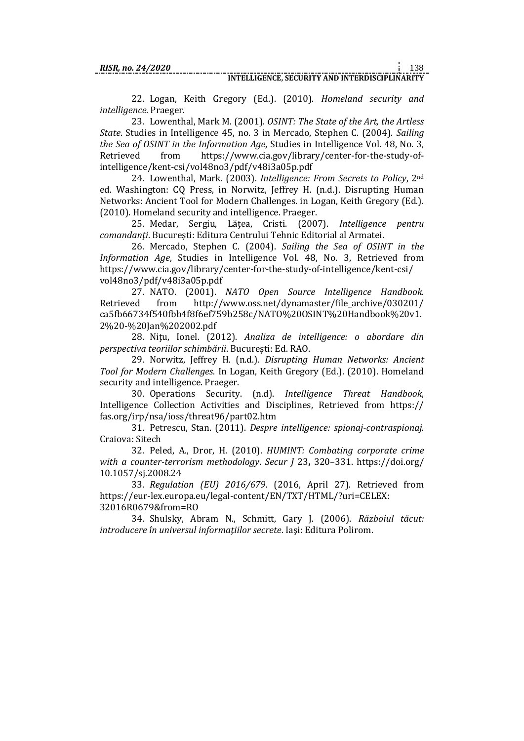22. Logan, Keith Gregory (Ed.). (2010). *Homeland security and intelligence*. Praeger.

23. Lowenthal, Mark M. (2001). *OSINT: The State of the Art, the Artless State*. Studies in Intelligence 45, no. 3 in Mercado, Stephen C. (2004). *Sailing the Sea of OSINT in the Information Age*, Studies in Intelligence Vol. 48, No. 3, Retrieved from https://www.cia.gov/library/center-for-the-study-ofintelligence/kent-csi/vol48no3/pdf/v48i3a05p.pdf

24. Lowenthal, Mark. (2003). *Intelligence: From Secrets to Policy*, 2nd ed. Washington: CQ Press, in Norwitz, Jeffrey H. (n.d.). Disrupting Human Networks: Ancient Tool for Modern Challenges. in Logan, Keith Gregory (Ed.). (2010). Homeland security and intelligence. Praeger.

25. Medar, Sergiu, Lăţea, Cristi. (2007). *Intelligence pentru comandanţi*. Bucureşti: Editura Centrului Tehnic Editorial al Armatei.

26. Mercado, Stephen C. (2004). *Sailing the Sea of OSINT in the Information Age*, Studies in Intelligence Vol. 48, No. 3, Retrieved from https://www.cia.gov/library/center-for-the-study-of-intelligence/kent-csi/ vol48no3/pdf/v48i3a05p.pdf

27. NATO. (2001). *NATO Open Source Intelligence Handbook.* Retrieved from http://www.oss.net/dynamaster/file\_archive/030201/ ca5fb66734f540fbb4f8f6ef759b258c/NATO%20OSINT%20Handbook%20v1. 2%20-%20Jan%202002.pdf

28. Niţu, Ionel. (2012). *Analiza de intelligence: o abordare din perspectiva teoriilor schimbării*. Bucureşti: Ed. RAO.

29. Norwitz, Jeffrey H. (n.d.). *Disrupting Human Networks: Ancient Tool for Modern Challenges.* In Logan, Keith Gregory (Ed.). (2010). Homeland security and intelligence. Praeger.

30. Operations Security. (n.d). *Intelligence Threat Handbook*, Intelligence Collection Activities and Disciplines, Retrieved from https:// fas.org/irp/nsa/ioss/threat96/part02.htm

31. Petrescu, Stan. (2011). *Despre intelligence: spionaj-contraspionaj*. Craiova: Sitech

32. Peled, A., Dror, H. (2010). *HUMINT: Combating corporate crime with a counter-terrorism methodology*. *Secur J* 23**,** 320–331. https://doi.org/ 10.1057/sj.2008.24

33. *Regulation (EU) 2016/679*. (2016, April 27). Retrieved from https://eur-lex.europa.eu/legal-content/EN/TXT/HTML/?uri=CELEX: 32016R0679&from=RO

34. Shulsky, Abram N., Schmitt, Gary J. (2006). *Războiul tăcut: introducere în universul informaţiilor secrete*. Iaşi: Editura Polirom.